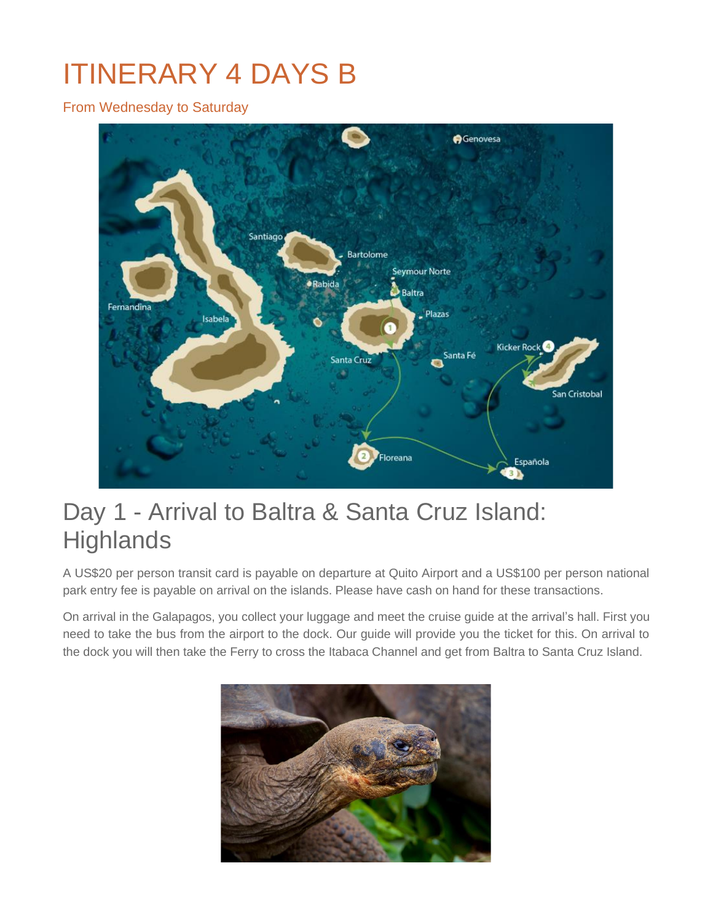# ITINERARY 4 DAYS B

From Wednesday to Saturday



# Day 1 - Arrival to Baltra & Santa Cruz Island: **Highlands**

A US\$20 per person transit card is payable on departure at Quito Airport and a US\$100 per person national park entry fee is payable on arrival on the islands. Please have cash on hand for these transactions.

On arrival in the Galapagos, you collect your luggage and meet the cruise guide at the arrival's hall. First you need to take the bus from the airport to the dock. Our guide will provide you the ticket for this. On arrival to the dock you will then take the Ferry to cross the Itabaca Channel and get from Baltra to Santa Cruz Island.

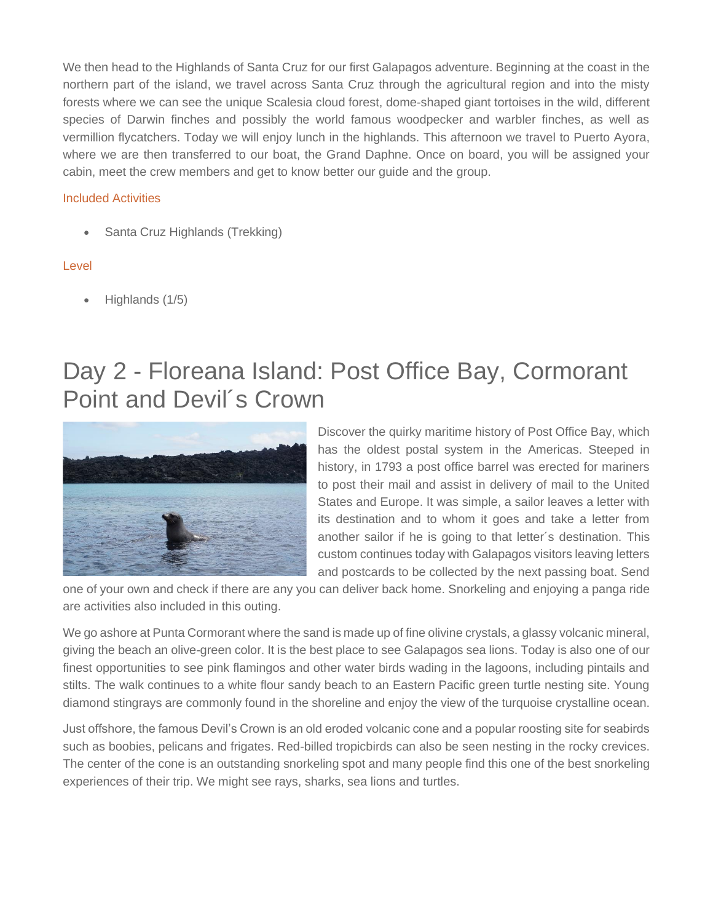We then head to the Highlands of Santa Cruz for our first Galapagos adventure. Beginning at the coast in the northern part of the island, we travel across Santa Cruz through the agricultural region and into the misty forests where we can see the unique Scalesia cloud forest, dome-shaped giant tortoises in the wild, different species of Darwin finches and possibly the world famous woodpecker and warbler finches, as well as vermillion flycatchers. Today we will enjoy lunch in the highlands. This afternoon we travel to Puerto Ayora, where we are then transferred to our boat, the Grand Daphne. Once on board, you will be assigned your cabin, meet the crew members and get to know better our guide and the group.

### Included Activities

• Santa Cruz Highlands (Trekking)

### Level

• Highlands (1/5)

# Day 2 - Floreana Island: Post Office Bay, Cormorant Point and Devil´s Crown



Discover the quirky maritime history of Post Office Bay, which has the oldest postal system in the Americas. Steeped in history, in 1793 a post office barrel was erected for mariners to post their mail and assist in delivery of mail to the United States and Europe. It was simple, a sailor leaves a letter with its destination and to whom it goes and take a letter from another sailor if he is going to that letter´s destination. This custom continues today with Galapagos visitors leaving letters and postcards to be collected by the next passing boat. Send

one of your own and check if there are any you can deliver back home. Snorkeling and enjoying a panga ride are activities also included in this outing.

We go ashore at Punta Cormorant where the sand is made up of fine olivine crystals, a glassy volcanic mineral, giving the beach an olive-green color. It is the best place to see Galapagos sea lions. Today is also one of our finest opportunities to see pink flamingos and other water birds wading in the lagoons, including pintails and stilts. The walk continues to a white flour sandy beach to an Eastern Pacific green turtle nesting site. Young diamond stingrays are commonly found in the shoreline and enjoy the view of the turquoise crystalline ocean.

Just offshore, the famous Devil's Crown is an old eroded volcanic cone and a popular roosting site for seabirds such as boobies, pelicans and frigates. Red-billed tropicbirds can also be seen nesting in the rocky crevices. The center of the cone is an outstanding snorkeling spot and many people find this one of the best snorkeling experiences of their trip. We might see rays, sharks, sea lions and turtles.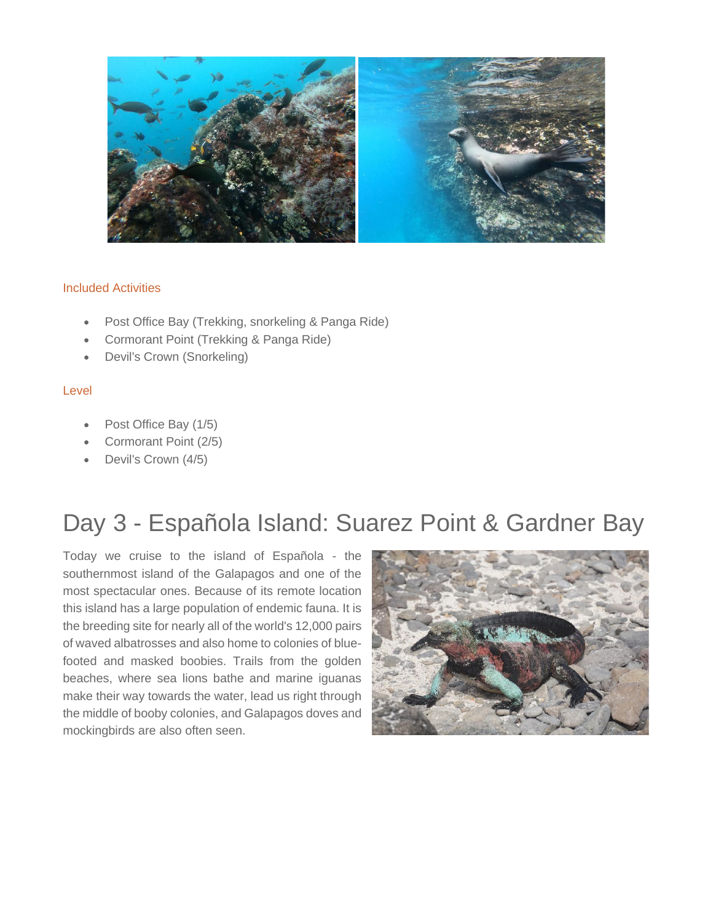

### Included Activities

- Post Office Bay (Trekking, snorkeling & Panga Ride)
- Cormorant Point (Trekking & Panga Ride)
- Devil's Crown (Snorkeling)

### Level

- Post Office Bay (1/5)
- Cormorant Point (2/5)
- Devil's Crown (4/5)

# Day 3 - Española Island: Suarez Point & Gardner Bay

Today we cruise to the island of Española - the southernmost island of the Galapagos and one of the most spectacular ones. Because of its remote location this island has a large population of endemic fauna. It is the breeding site for nearly all of the world's 12,000 pairs of waved albatrosses and also home to colonies of bluefooted and masked boobies. Trails from the golden beaches, where sea lions bathe and marine iguanas make their way towards the water, lead us right through the middle of booby colonies, and Galapagos doves and mockingbirds are also often seen.

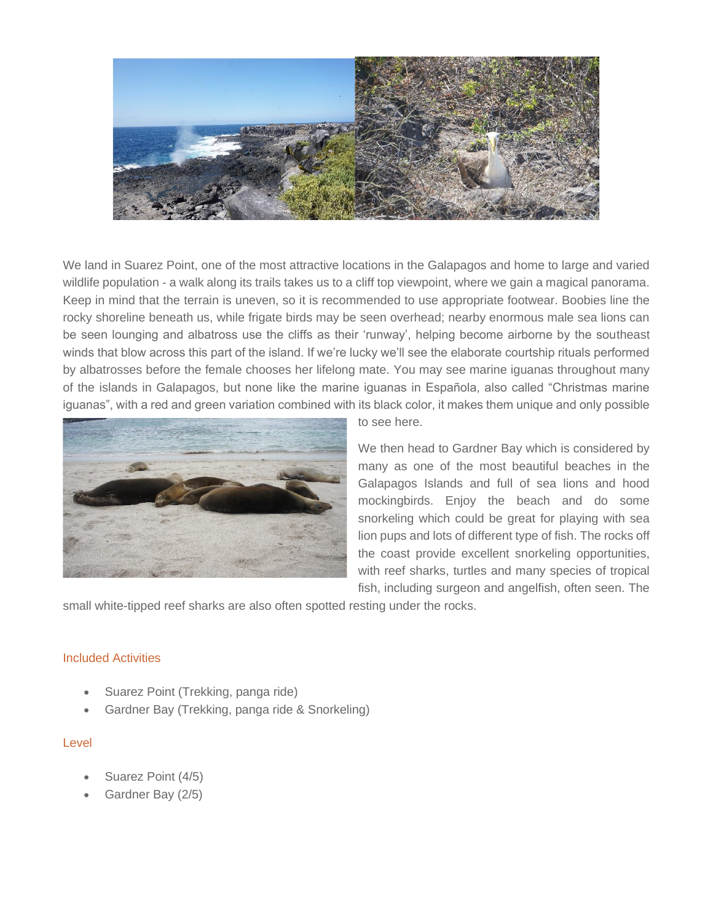

We land in Suarez Point, one of the most attractive locations in the Galapagos and home to large and varied wildlife population - a walk along its trails takes us to a cliff top viewpoint, where we gain a magical panorama. Keep in mind that the terrain is uneven, so it is recommended to use appropriate footwear. Boobies line the rocky shoreline beneath us, while frigate birds may be seen overhead; nearby enormous male sea lions can be seen lounging and albatross use the cliffs as their 'runway', helping become airborne by the southeast winds that blow across this part of the island. If we're lucky we'll see the elaborate courtship rituals performed by albatrosses before the female chooses her lifelong mate. You may see marine iguanas throughout many of the islands in Galapagos, but none like the marine iguanas in Española, also called "Christmas marine iguanas", with a red and green variation combined with its black color, it makes them unique and only possible



to see here.

We then head to Gardner Bay which is considered by many as one of the most beautiful beaches in the Galapagos Islands and full of sea lions and hood mockingbirds. Enjoy the beach and do some snorkeling which could be great for playing with sea lion pups and lots of different type of fish. The rocks off the coast provide excellent snorkeling opportunities, with reef sharks, turtles and many species of tropical fish, including surgeon and angelfish, often seen. The

small white-tipped reef sharks are also often spotted resting under the rocks.

### Included Activities

- Suarez Point (Trekking, panga ride)
- Gardner Bay (Trekking, panga ride & Snorkeling)

### Level

- Suarez Point (4/5)
- Gardner Bay (2/5)